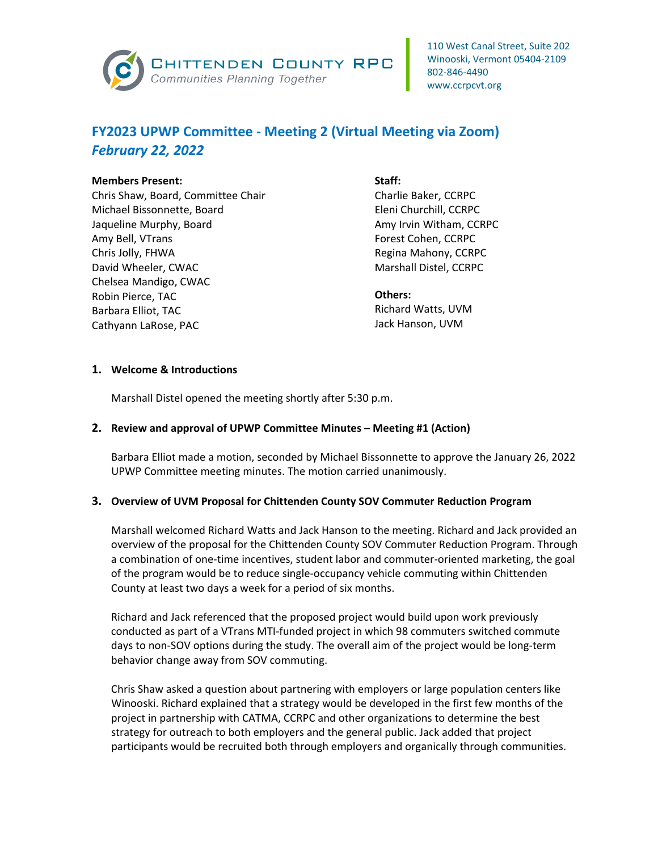

# **FY2023 UPWP Committee - Meeting 2 (Virtual Meeting via Zoom)** *February 22, 2022*

#### **Members Present:**

Chris Shaw, Board, Committee Chair Michael Bissonnette, Board Jaqueline Murphy, Board Amy Bell, VTrans Chris Jolly, FHWA David Wheeler, CWAC Chelsea Mandigo, CWAC Robin Pierce, TAC Barbara Elliot, TAC Cathyann LaRose, PAC

#### **Staff:**

Charlie Baker, CCRPC Eleni Churchill, CCRPC Amy Irvin Witham, CCRPC Forest Cohen, CCRPC Regina Mahony, CCRPC Marshall Distel, CCRPC

### **Others:**

Richard Watts, UVM Jack Hanson, UVM

### **1. Welcome & Introductions**

Marshall Distel opened the meeting shortly after 5:30 p.m.

## **2. Review and approval of UPWP Committee Minutes – Meeting #1 (Action)**

Barbara Elliot made a motion, seconded by Michael Bissonnette to approve the January 26, 2022 UPWP Committee meeting minutes. The motion carried unanimously.

### **3. Overview of UVM Proposal for Chittenden County SOV Commuter Reduction Program**

Marshall welcomed Richard Watts and Jack Hanson to the meeting. Richard and Jack provided an overview of the proposal for the Chittenden County SOV Commuter Reduction Program. Through a combination of one-time incentives, student labor and commuter-oriented marketing, the goal of the program would be to reduce single-occupancy vehicle commuting within Chittenden County at least two days a week for a period of six months.

Richard and Jack referenced that the proposed project would build upon work previously conducted as part of a VTrans MTI-funded project in which 98 commuters switched commute days to non-SOV options during the study. The overall aim of the project would be long-term behavior change away from SOV commuting.

Chris Shaw asked a question about partnering with employers or large population centers like Winooski. Richard explained that a strategy would be developed in the first few months of the project in partnership with CATMA, CCRPC and other organizations to determine the best strategy for outreach to both employers and the general public. Jack added that project participants would be recruited both through employers and organically through communities.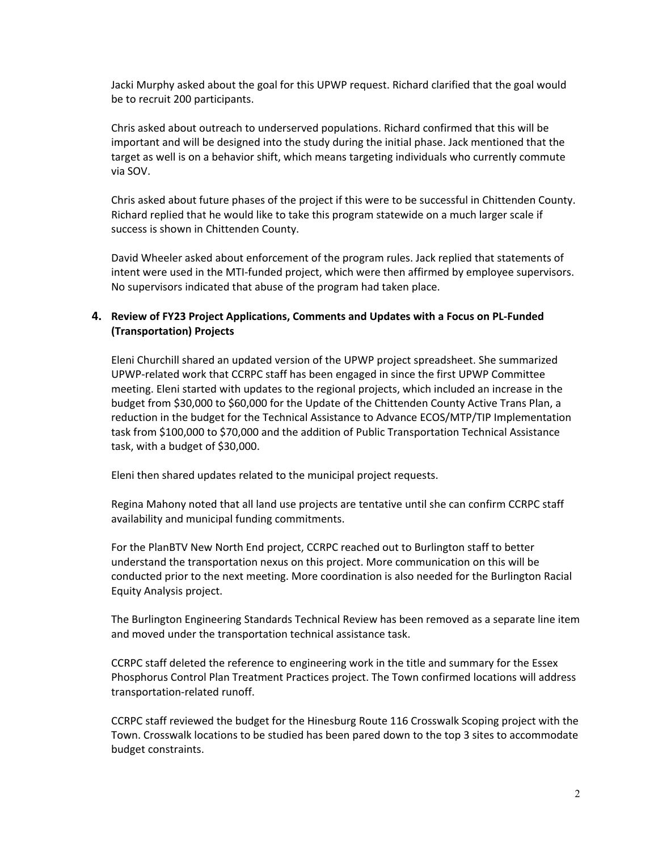Jacki Murphy asked about the goal for this UPWP request. Richard clarified that the goal would be to recruit 200 participants.

Chris asked about outreach to underserved populations. Richard confirmed that this will be important and will be designed into the study during the initial phase. Jack mentioned that the target as well is on a behavior shift, which means targeting individuals who currently commute via SOV.

Chris asked about future phases of the project if this were to be successful in Chittenden County. Richard replied that he would like to take this program statewide on a much larger scale if success is shown in Chittenden County.

David Wheeler asked about enforcement of the program rules. Jack replied that statements of intent were used in the MTI-funded project, which were then affirmed by employee supervisors. No supervisors indicated that abuse of the program had taken place.

## **4. Review of FY23 Project Applications, Comments and Updates with a Focus on PL-Funded (Transportation) Projects**

Eleni Churchill shared an updated version of the UPWP project spreadsheet. She summarized UPWP-related work that CCRPC staff has been engaged in since the first UPWP Committee meeting. Eleni started with updates to the regional projects, which included an increase in the budget from \$30,000 to \$60,000 for the Update of the Chittenden County Active Trans Plan, a reduction in the budget for the Technical Assistance to Advance ECOS/MTP/TIP Implementation task from \$100,000 to \$70,000 and the addition of Public Transportation Technical Assistance task, with a budget of \$30,000.

Eleni then shared updates related to the municipal project requests.

Regina Mahony noted that all land use projects are tentative until she can confirm CCRPC staff availability and municipal funding commitments.

For the PlanBTV New North End project, CCRPC reached out to Burlington staff to better understand the transportation nexus on this project. More communication on this will be conducted prior to the next meeting. More coordination is also needed for the Burlington Racial Equity Analysis project.

The Burlington Engineering Standards Technical Review has been removed as a separate line item and moved under the transportation technical assistance task.

CCRPC staff deleted the reference to engineering work in the title and summary for the Essex Phosphorus Control Plan Treatment Practices project. The Town confirmed locations will address transportation-related runoff.

CCRPC staff reviewed the budget for the Hinesburg Route 116 Crosswalk Scoping project with the Town. Crosswalk locations to be studied has been pared down to the top 3 sites to accommodate budget constraints.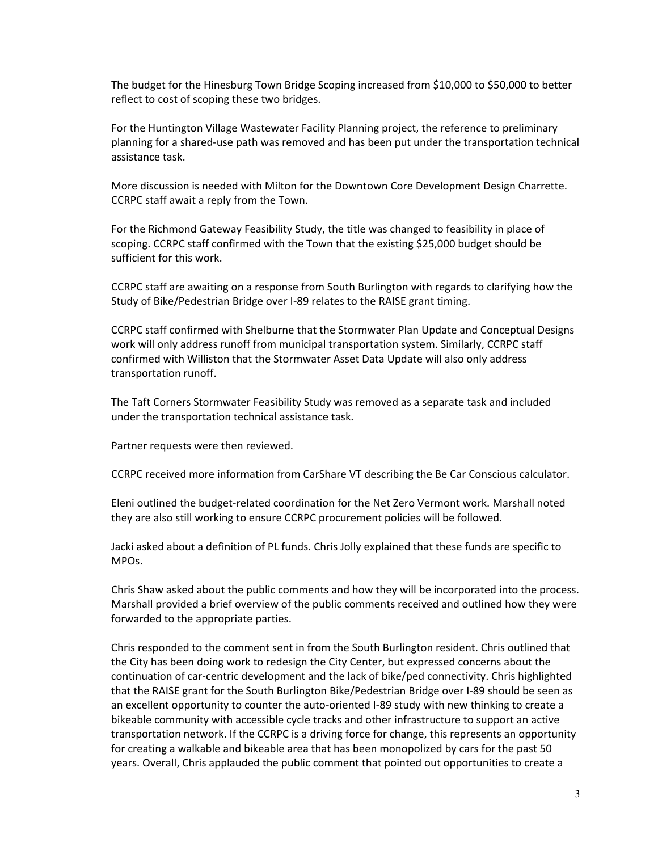The budget for the Hinesburg Town Bridge Scoping increased from \$10,000 to \$50,000 to better reflect to cost of scoping these two bridges.

For the Huntington Village Wastewater Facility Planning project, the reference to preliminary planning for a shared-use path was removed and has been put under the transportation technical assistance task.

More discussion is needed with Milton for the Downtown Core Development Design Charrette. CCRPC staff await a reply from the Town.

For the Richmond Gateway Feasibility Study, the title was changed to feasibility in place of scoping. CCRPC staff confirmed with the Town that the existing \$25,000 budget should be sufficient for this work.

CCRPC staff are awaiting on a response from South Burlington with regards to clarifying how the Study of Bike/Pedestrian Bridge over I-89 relates to the RAISE grant timing.

CCRPC staff confirmed with Shelburne that the Stormwater Plan Update and Conceptual Designs work will only address runoff from municipal transportation system. Similarly, CCRPC staff confirmed with Williston that the Stormwater Asset Data Update will also only address transportation runoff.

The Taft Corners Stormwater Feasibility Study was removed as a separate task and included under the transportation technical assistance task.

Partner requests were then reviewed.

CCRPC received more information from CarShare VT describing the Be Car Conscious calculator.

Eleni outlined the budget-related coordination for the Net Zero Vermont work. Marshall noted they are also still working to ensure CCRPC procurement policies will be followed.

Jacki asked about a definition of PL funds. Chris Jolly explained that these funds are specific to MPOs.

Chris Shaw asked about the public comments and how they will be incorporated into the process. Marshall provided a brief overview of the public comments received and outlined how they were forwarded to the appropriate parties.

Chris responded to the comment sent in from the South Burlington resident. Chris outlined that the City has been doing work to redesign the City Center, but expressed concerns about the continuation of car-centric development and the lack of bike/ped connectivity. Chris highlighted that the RAISE grant for the South Burlington Bike/Pedestrian Bridge over I-89 should be seen as an excellent opportunity to counter the auto-oriented I-89 study with new thinking to create a bikeable community with accessible cycle tracks and other infrastructure to support an active transportation network. If the CCRPC is a driving force for change, this represents an opportunity for creating a walkable and bikeable area that has been monopolized by cars for the past 50 years. Overall, Chris applauded the public comment that pointed out opportunities to create a